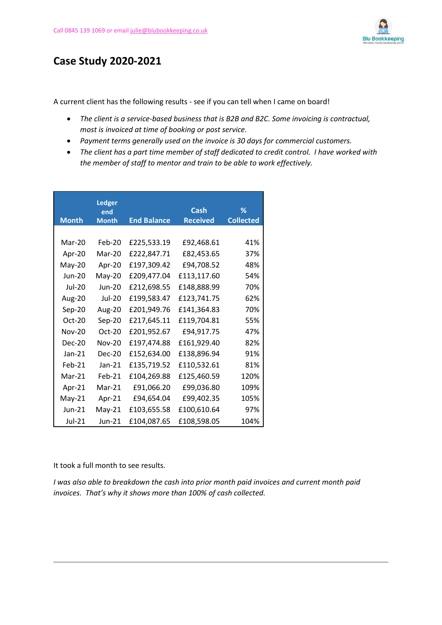

## **Case Study 2020-2021**

A current client has the following results - see if you can tell when I came on board!

- *The client is a service-based business that is B2B and B2C. Some invoicing is contractual, most is invoiced at time of booking or post service.*
- *Payment terms generally used on the invoice is 30 days for commercial customers.*
- *The client has a part time member of staff dedicated to credit control. I have worked with the member of staff to mentor and train to be able to work effectively.*

| <b>Month</b>  | <b>Ledger</b><br>end<br><b>Month</b> | <b>End Balance</b> | Cash<br><b>Received</b> | ℅<br><b>Collected</b> |
|---------------|--------------------------------------|--------------------|-------------------------|-----------------------|
|               |                                      |                    |                         |                       |
| $Mar-20$      | Feb-20                               | £225,533.19        | £92,468.61              | 41%                   |
| Apr-20        | Mar-20                               | £222,847.71        | £82,453.65              | 37%                   |
| May-20        | Apr-20                               | £197,309.42        | £94,708.52              | 48%                   |
| Jun-20        | May-20                               | £209,477.04        | £113,117.60             | 54%                   |
| $Jul-20$      | $Jun-20$                             | £212,698.55        | £148,888.99             | 70%                   |
| Aug-20        | $Jul-20$                             | £199,583.47        | £123,741.75             | 62%                   |
| Sep-20        | Aug-20                               | £201,949.76        | £141,364.83             | 70%                   |
| Oct-20        | Sep-20                               | £217,645.11        | £119,704.81             | 55%                   |
| <b>Nov-20</b> | $Oct-20$                             | £201,952.67        | £94,917.75              | 47%                   |
| Dec-20        | $Nov-20$                             | £197,474.88        | £161,929.40             | 82%                   |
| $Jan-21$      | $Dec-20$                             | £152,634.00        | £138,896.94             | 91%                   |
| $Feb-21$      | $Jan-21$                             | £135,719.52        | £110,532.61             | 81%                   |
| Mar-21        | $Feb-21$                             | £104,269.88        | £125,460.59             | 120%                  |
| Apr-21        | Mar-21                               | £91,066.20         | £99,036.80              | 109%                  |
| $May-21$      | Apr-21                               | £94,654.04         | £99,402.35              | 105%                  |
| $J$ un-21     | $May-21$                             | £103,655.58        | £100,610.64             | 97%                   |
| Jul-21        | Jun-21                               | £104,087.65        | £108,598.05             | 104%                  |

It took a full month to see results.

*I was also able to breakdown the cash into prior month paid invoices and current month paid invoices. That's why it shows more than 100% of cash collected.*